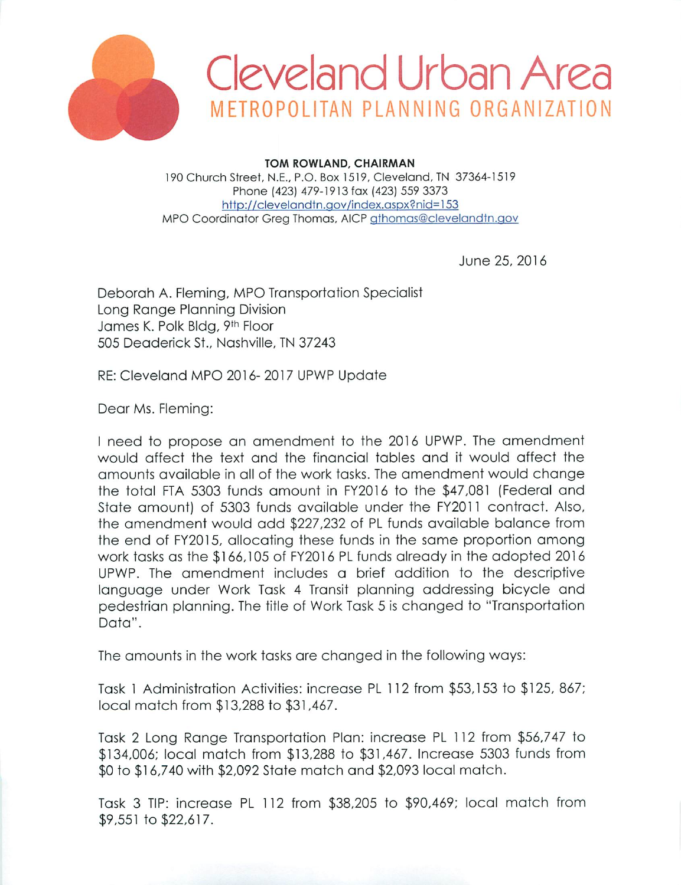



**TOM ROWLAND, CHAIRMAN** 190 Church Street, N.E., P.O. Box 1519, Cleveland, TN 37364-1519 Phone (423) 479-1913 fax (423) 559 3373 http://clevelandtn.gov/index.aspx?nid=153 MPO Coordinator Greg Thomas, AICP gthomas@clevelandtn.gov

June 25, 2016

Deborah A. Fleming, MPO Transportation Specialist Long Range Planning Division James K. Polk Bldg, 9th Floor 505 Deaderick St., Nashville, TN 37243

RE: Cleveland MPO 2016-2017 UPWP Update

Dear Ms. Fleming:

I need to propose an amendment to the 2016 UPWP. The amendment would affect the text and the financial tables and it would affect the amounts available in all of the work tasks. The amendment would change the total FTA 5303 funds amount in FY2016 to the \$47,081 (Federal and State amount) of 5303 funds available under the FY2011 contract. Also, the amendment would add \$227,232 of PL funds available balance from the end of FY2015, allocating these funds in the same proportion among work tasks as the \$166,105 of FY2016 PL funds already in the adopted 2016 UPWP. The amendment includes a brief addition to the descriptive language under Work Task 4 Transit planning addressing bicycle and pedestrian planning. The title of Work Task 5 is changed to "Transportation" Data".

The amounts in the work tasks are changed in the following ways:

Task 1 Administration Activities: increase PL 112 from \$53,153 to \$125, 867; local match from \$13,288 to \$31,467.

Task 2 Long Range Transportation Plan: increase PL 112 from \$56,747 to \$134,006; local match from \$13,288 to \$31,467. Increase 5303 funds from \$0 to \$16,740 with \$2,092 State match and \$2,093 local match.

Task 3 TIP: increase PL 112 from \$38,205 to \$90,469; local match from \$9,551 to \$22,617.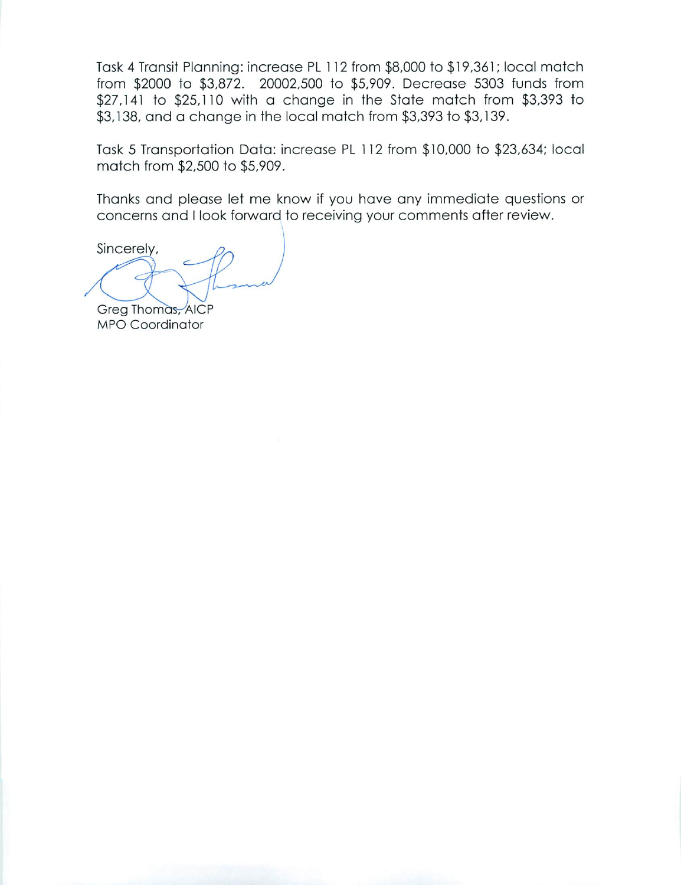Task 4 Transit Planning: increase PL 112 from \$8,000 to \$19,361; local match from \$2000 to \$3,872. 20002,500 to \$5,909. Decrease 5303 funds from \$27,141 to \$25,110 with a change in the State match from \$3,393 to \$3,138, and a change in the local match from \$3,393 to \$3,139.

Task 5 Transportation Data: increase PL 112 from \$10,000 to \$23,634; local match from \$2,500 to \$5,909.

Thanks and please let me know if you have any immediate questions or concerns and I look forward to receiving your comments after review.

Sincerely,

Greg Thomas, AICP **MPO** Coordinator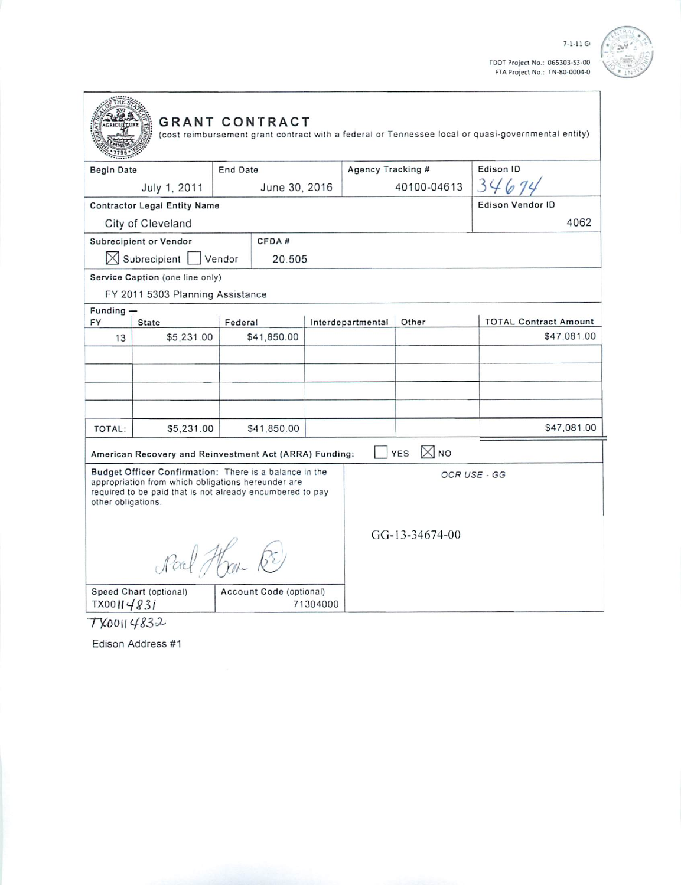TDOT Project No.: 065303-53-00<br>FTA Project No.: TN-80-0004-0

 $7 - 1 - 11$  G



|                                                                                                                                                                                                                |                                                                     | <b>GRANT CONTRACT</b>                                  |          |                   |                              | (cost reimbursement grant contract with a federal or Tennessee local or quasi-governmental entity) |  |
|----------------------------------------------------------------------------------------------------------------------------------------------------------------------------------------------------------------|---------------------------------------------------------------------|--------------------------------------------------------|----------|-------------------|------------------------------|----------------------------------------------------------------------------------------------------|--|
| <b>Begin Date</b>                                                                                                                                                                                              |                                                                     | End Date                                               |          | Agency Tracking # |                              | Edison ID                                                                                          |  |
|                                                                                                                                                                                                                | July 1, 2011                                                        | June 30, 2016                                          |          | 40100-04613       |                              | 346                                                                                                |  |
|                                                                                                                                                                                                                | <b>Contractor Legal Entity Name</b>                                 |                                                        |          |                   |                              | <b>Edison Vendor ID</b>                                                                            |  |
|                                                                                                                                                                                                                | City of Cleveland                                                   |                                                        |          |                   |                              | 4062                                                                                               |  |
|                                                                                                                                                                                                                | Subrecipient or Vendor                                              | CFDA#                                                  |          |                   |                              |                                                                                                    |  |
|                                                                                                                                                                                                                | $\boxtimes$ Subrecipient   Vendor                                   | 20.505                                                 |          |                   |                              |                                                                                                    |  |
|                                                                                                                                                                                                                | Service Caption (one line only)<br>FY 2011 5303 Planning Assistance |                                                        |          |                   |                              |                                                                                                    |  |
| Funding -<br>FY                                                                                                                                                                                                | <b>State</b>                                                        | Federal                                                |          | Interdepartmental | Other                        | <b>TOTAL Contract Amount</b>                                                                       |  |
| 13                                                                                                                                                                                                             | \$5,231.00                                                          | \$41,850.00                                            |          |                   |                              | \$47,081.00                                                                                        |  |
|                                                                                                                                                                                                                |                                                                     |                                                        |          |                   |                              |                                                                                                    |  |
| TOTAL:                                                                                                                                                                                                         | \$5,231.00                                                          | \$41,850.00                                            |          |                   |                              | \$47,081.00                                                                                        |  |
|                                                                                                                                                                                                                |                                                                     | American Recovery and Reinvestment Act (ARRA) Funding: |          |                   | $\boxtimes$ NO<br><b>YES</b> |                                                                                                    |  |
| Budget Officer Confirmation: There is a balance in the<br>appropriation from which obligations hereunder are<br>required to be paid that is not already encumbered to pay<br>other obligations.<br>Noal Han RE |                                                                     |                                                        |          | GG-13-34674-00    | OCR USE - GG                 |                                                                                                    |  |
| TX00114831                                                                                                                                                                                                     | Speed Chart (optional)                                              | Account Code (optional)                                | 71304000 |                   |                              |                                                                                                    |  |

TX00114832

Edison Address #1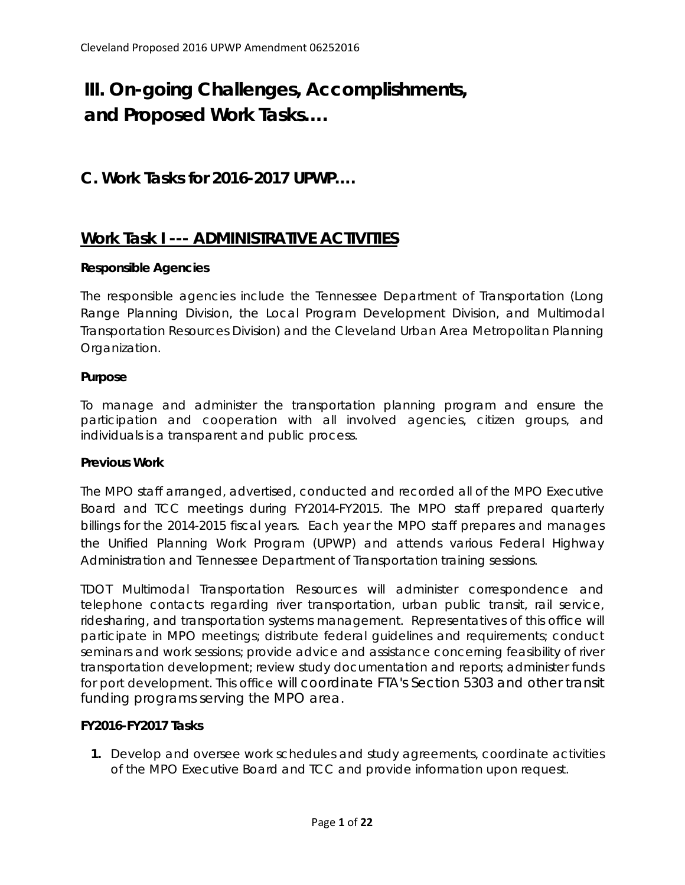# **III. On-going Challenges, Accomplishments, and Proposed Work Tasks….**

# **C. Work Tasks for 2016-2017 UPWP….**

# **Work Task I --- ADMINISTRATIVE ACTIVITIES**

#### **Responsible Agencies**

The responsible agencies include the Tennessee Department of Transportation (Long Range Planning Division, the Local Program Development Division, and Multimodal Transportation Resources Division) and the Cleveland Urban Area Metropolitan Planning Organization.

#### **Purpose**

To manage and administer the transportation planning program and ensure the participation and cooperation with all involved agencies, citizen groups, and individuals is a transparent and public process.

#### **Previous Work**

The MPO staff arranged, advertised, conducted and recorded all of the MPO Executive Board and TCC meetings during FY2014-FY2015. The MPO staff prepared quarterly billings for the 2014-2015 fiscal years. Each year the MPO staff prepares and manages the Unified Planning Work Program (UPWP) and attends various Federal Highway Administration and Tennessee Department of Transportation training sessions.

TDOT Multimodal Transportation Resources will administer correspondence and telephone contacts regarding river transportation, urban public transit, rail service, ridesharing, and transportation systems management. Representatives of this office will participate in MPO meetings; distribute federal guidelines and requirements; conduct seminars and work sessions; provide advice and assistance concerning feasibility of river transportation development; review study documentation and reports; administer funds for port development. This office will coordinate FTA's Section 5303 and other transit funding programs serving the MPO area.

# **FY2016-FY2017 Tasks**

**1.** Develop and oversee work schedules and study agreements, coordinate activities of the MPO Executive Board and TCC and provide information upon request.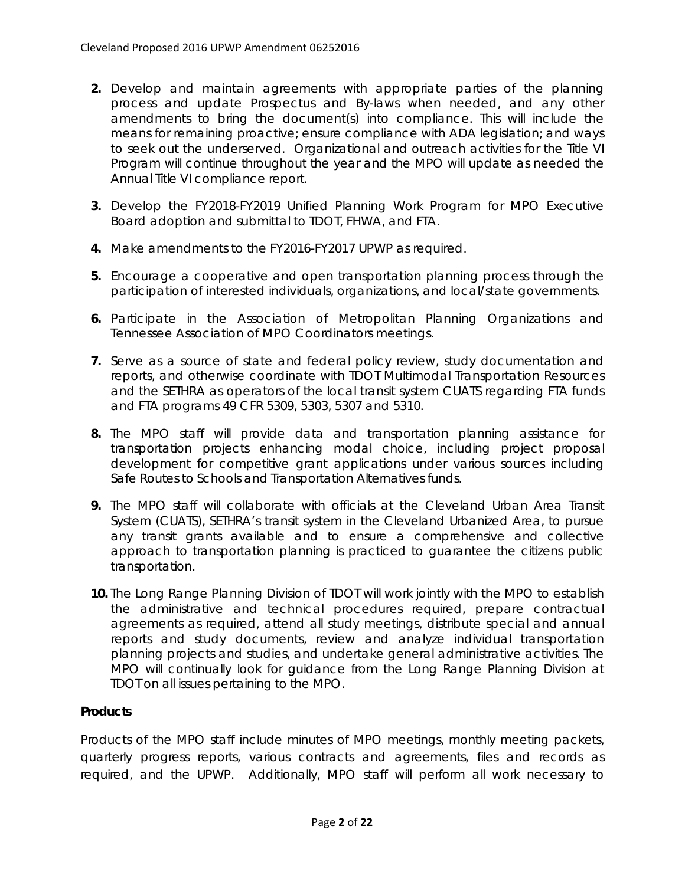- **2.** Develop and maintain agreements with appropriate parties of the planning process and update Prospectus and By-laws when needed, and any other amendments to bring the document(s) into compliance. This will include the means for remaining proactive; ensure compliance with ADA legislation; and ways to seek out the underserved. Organizational and outreach activities for the Title VI Program will continue throughout the year and the MPO will update as needed the Annual Title VI compliance report.
- **3.** Develop the FY2018-FY2019 Unified Planning Work Program for MPO Executive Board adoption and submittal to TDOT, FHWA, and FTA.
- **4.** Make amendments to the FY2016-FY2017 UPWP as required.
- **5.** Encourage a cooperative and open transportation planning process through the participation of interested individuals, organizations, and local/state governments.
- **6.** Participate in the Association of Metropolitan Planning Organizations and Tennessee Association of MPO Coordinators meetings.
- **7.** Serve as a source of state and federal policy review, study documentation and reports, and otherwise coordinate with TDOT Multimodal Transportation Resources and the SETHRA as operators of the local transit system CUATS regarding FTA funds and FTA programs 49 CFR 5309, 5303, 5307 and 5310.
- **8.** The MPO staff will provide data and transportation planning assistance for transportation projects enhancing modal choice, including project proposal development for competitive grant applications under various sources including Safe Routes to Schools and Transportation Alternatives funds.
- **9.** The MPO staff will collaborate with officials at the Cleveland Urban Area Transit System (CUATS), SETHRA's transit system in the Cleveland Urbanized Area, to pursue any transit grants available and to ensure a comprehensive and collective approach to transportation planning is practiced to guarantee the citizens public transportation.
- **10.** The Long Range Planning Division of TDOT will work jointly with the MPO to establish the administrative and technical procedures required, prepare contractual agreements as required, attend all study meetings, distribute special and annual reports and study documents, review and analyze individual transportation planning projects and studies, and undertake general administrative activities. The MPO will continually look for guidance from the Long Range Planning Division at TDOT on all issues pertaining to the MPO.

# **Products**

Products of the MPO staff include minutes of MPO meetings, monthly meeting packets, quarterly progress reports, various contracts and agreements, files and records as required, and the UPWP. Additionally, MPO staff will perform all work necessary to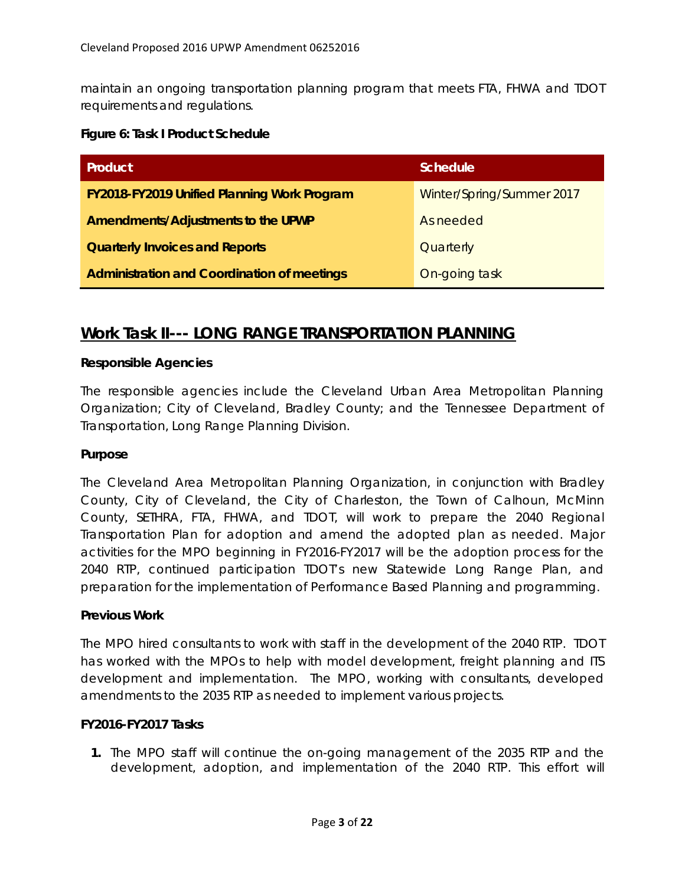maintain an ongoing transportation planning program that meets FTA, FHWA and TDOT requirements and regulations.

#### **Figure 6: Task I Product Schedule**

| Product                                            | Schedule                  |  |  |
|----------------------------------------------------|---------------------------|--|--|
| <b>FY2018-FY2019 Unified Planning Work Program</b> | Winter/Spring/Summer 2017 |  |  |
| Amendments/Adjustments to the UPWP                 | As needed                 |  |  |
| <b>Quarterly Invoices and Reports</b>              | Quarterly                 |  |  |
| <b>Administration and Coordination of meetings</b> | On-going task             |  |  |

# **Work Task II--- LONG RANGE TRANSPORTATION PLANNING**

# **Responsible Agencies**

The responsible agencies include the Cleveland Urban Area Metropolitan Planning Organization; City of Cleveland, Bradley County; and the Tennessee Department of Transportation, Long Range Planning Division.

# **Purpose**

The Cleveland Area Metropolitan Planning Organization, in conjunction with Bradley County, City of Cleveland, the City of Charleston, the Town of Calhoun, McMinn County, SETHRA, FTA, FHWA, and TDOT, will work to prepare the 2040 Regional Transportation Plan for adoption and amend the adopted plan as needed. Major activities for the MPO beginning in FY2016-FY2017 will be the adoption process for the 2040 RTP, continued participation TDOT's new Statewide Long Range Plan, and preparation for the implementation of Performance Based Planning and programming.

# **Previous Work**

The MPO hired consultants to work with staff in the development of the 2040 RTP. TDOT has worked with the MPOs to help with model development, freight planning and ITS development and implementation. The MPO, working with consultants, developed amendments to the 2035 RTP as needed to implement various projects.

# **FY2016-FY2017 Tasks**

**1.** The MPO staff will continue the on-going management of the 2035 RTP and the development, adoption, and implementation of the 2040 RTP. This effort will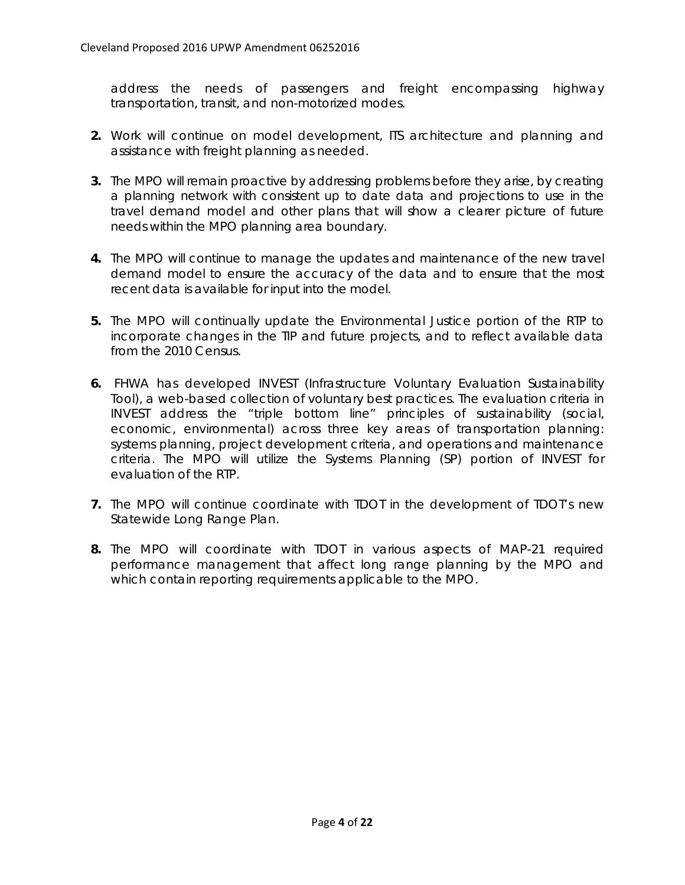address the needs of passengers and freight encompassing highway transportation, transit, and non-motorized modes.

- **2.** Work will continue on model development, ITS architecture and planning and assistance with freight planning as needed.
- **3.** The MPO will remain proactive by addressing problems before they arise, by creating a planning network with consistent up to date data and projections to use in the travel demand model and other plans that will show a clearer picture of future needs within the MPO planning area boundary.
- **4.** The MPO will continue to manage the updates and maintenance of the new travel demand model to ensure the accuracy of the data and to ensure that the most recent data is available for input into the model.
- **5.** The MPO will continually update the Environmental Justice portion of the RTP to incorporate changes in the TIP and future projects, and to reflect available data from the 2010 Census.
- **6.** FHWA has developed INVEST (Infrastructure Voluntary Evaluation Sustainability Tool), a web-based collection of voluntary best practices. The evaluation criteria in INVEST address the "triple bottom line" principles of sustainability (social, economic, environmental) across three key areas of transportation planning: systems planning, project development criteria, and operations and maintenance criteria. The MPO will utilize the Systems Planning (SP) portion of INVEST for evaluation of the RTP.
- **7.** The MPO will continue coordinate with TDOT in the development of TDOT's new Statewide Long Range Plan.
- **8.** The MPO will coordinate with TDOT in various aspects of MAP-21 required performance management that affect long range planning by the MPO and which contain reporting requirements applicable to the MPO.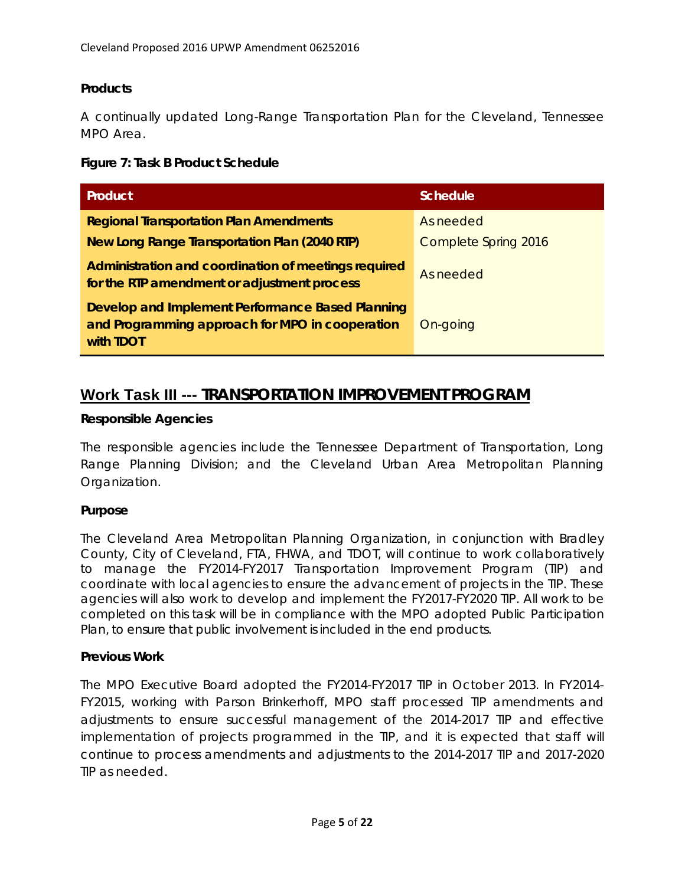# **Products**

A continually updated Long-Range Transportation Plan for the Cleveland, Tennessee MPO Area

#### **Figure 7: Task B Product Schedule**

| <b>Product</b>                                                                                                          | Schedule             |
|-------------------------------------------------------------------------------------------------------------------------|----------------------|
| <b>Regional Transportation Plan Amendments</b>                                                                          | As needed            |
| New Long Range Transportation Plan (2040 RTP)                                                                           | Complete Spring 2016 |
| Administration and coordination of meetings required<br>for the RTP amendment or adjustment process                     | As needed            |
| Develop and Implement Performance Based Planning<br>and Programming approach for MPO in cooperation<br>with <b>TDOT</b> | On-going             |

# **Work Task III --- TRANSPORTATION IMPROVEMENT PROGRAM**

#### **Responsible Agencies**

The responsible agencies include the Tennessee Department of Transportation, Long Range Planning Division; and the Cleveland Urban Area Metropolitan Planning Organization.

# **Purpose**

The Cleveland Area Metropolitan Planning Organization, in conjunction with Bradley County, City of Cleveland, FTA, FHWA, and TDOT, will continue to work collaboratively to manage the FY2014-FY2017 Transportation Improvement Program (TIP) and coordinate with local agencies to ensure the advancement of projects in the TIP. These agencies will also work to develop and implement the FY2017-FY2020 TIP. All work to be completed on this task will be in compliance with the MPO adopted Public Participation Plan, to ensure that public involvement is included in the end products.

#### **Previous Work**

The MPO Executive Board adopted the FY2014-FY2017 TIP in October 2013. In FY2014- FY2015, working with Parson Brinkerhoff, MPO staff processed TIP amendments and adjustments to ensure successful management of the 2014-2017 TIP and effective implementation of projects programmed in the TIP, and it is expected that staff will continue to process amendments and adjustments to the 2014-2017 TIP and 2017-2020 TIP as needed.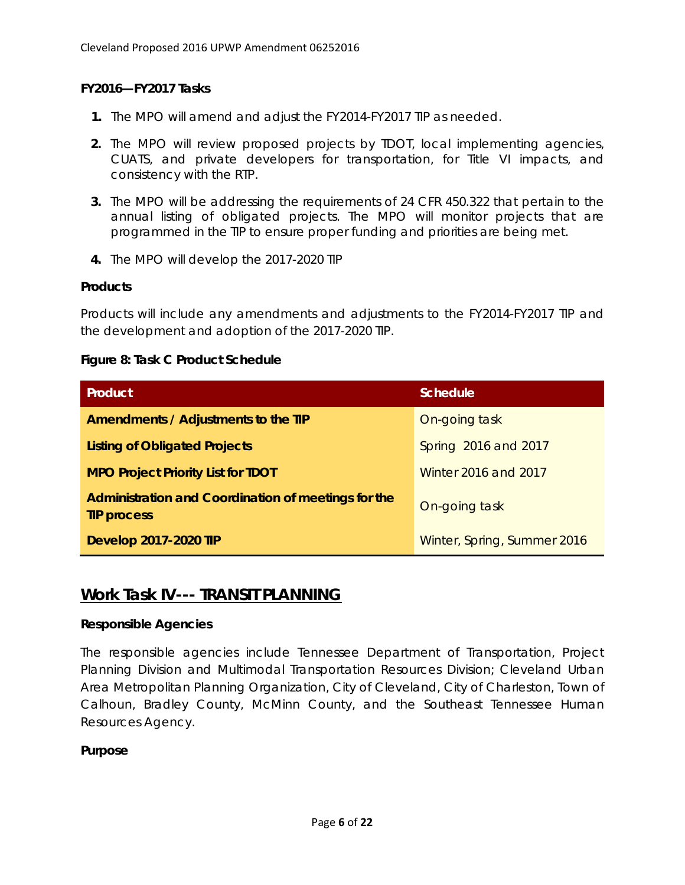### **FY2016—FY2017 Tasks**

- **1.** The MPO will amend and adjust the FY2014-FY2017 TIP as needed.
- **2.** The MPO will review proposed projects by TDOT, local implementing agencies, CUATS, and private developers for transportation, for Title VI impacts, and consistency with the RTP.
- **3.** The MPO will be addressing the requirements of 24 CFR 450.322 that pertain to the annual listing of obligated projects. The MPO will monitor projects that are programmed in the TIP to ensure proper funding and priorities are being met.
- **4.** The MPO will develop the 2017-2020 TIP

#### **Products**

Products will include any amendments and adjustments to the FY2014-FY2017 TIP and the development and adoption of the 2017-2020 TIP.

#### **Figure 8: Task C Product Schedule**

| <b>Product</b>                                                            | <b>Schedule</b>             |
|---------------------------------------------------------------------------|-----------------------------|
| Amendments / Adjustments to the TIP                                       | On-going task               |
| <b>Listing of Obligated Projects</b>                                      | Spring 2016 and 2017        |
| <b>MPO Project Priority List for TDOT</b>                                 | Winter 2016 and 2017        |
| Administration and Coordination of meetings for the<br><b>TIP process</b> | On-going task               |
| <b>Develop 2017-2020 TIP</b>                                              | Winter, Spring, Summer 2016 |

# **Work Task IV--- TRANSIT PLANNING**

#### **Responsible Agencies**

The responsible agencies include Tennessee Department of Transportation, Project Planning Division and Multimodal Transportation Resources Division; Cleveland Urban Area Metropolitan Planning Organization, City of Cleveland, City of Charleston, Town of Calhoun, Bradley County, McMinn County, and the Southeast Tennessee Human Resources Agency.

#### **Purpose**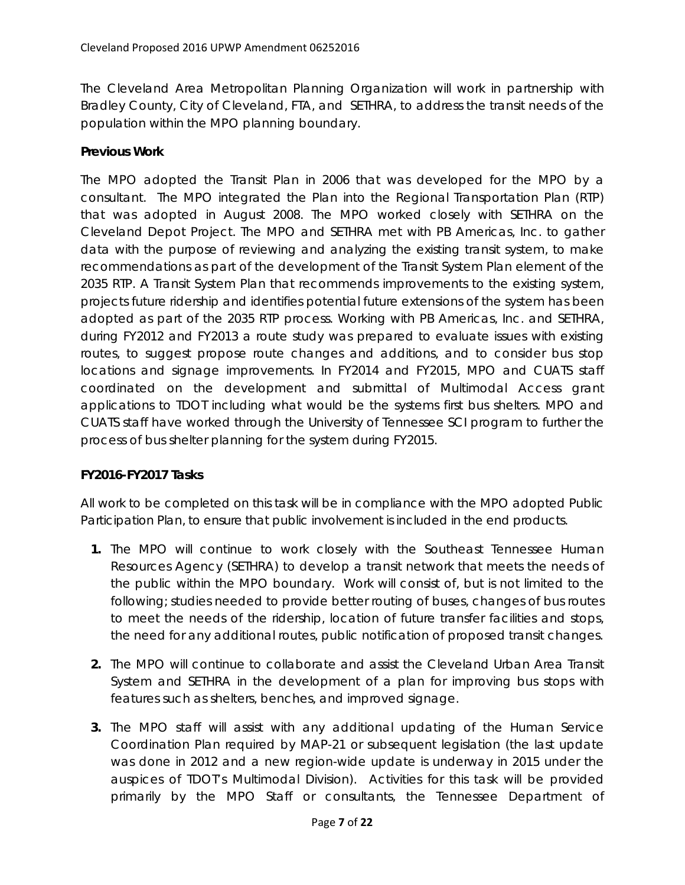The Cleveland Area Metropolitan Planning Organization will work in partnership with Bradley County, City of Cleveland, FTA, and SETHRA, to address the transit needs of the population within the MPO planning boundary.

### **Previous Work**

The MPO adopted the Transit Plan in 2006 that was developed for the MPO by a consultant. The MPO integrated the Plan into the Regional Transportation Plan (RTP) that was adopted in August 2008. The MPO worked closely with SETHRA on the Cleveland Depot Project. The MPO and SETHRA met with PB Americas, Inc. to gather data with the purpose of reviewing and analyzing the existing transit system, to make recommendations as part of the development of the Transit System Plan element of the 2035 RTP. A Transit System Plan that recommends improvements to the existing system, projects future ridership and identifies potential future extensions of the system has been adopted as part of the 2035 RTP process. Working with PB Americas, Inc. and SETHRA, during FY2012 and FY2013 a route study was prepared to evaluate issues with existing routes, to suggest propose route changes and additions, and to consider bus stop locations and signage improvements. In FY2014 and FY2015, MPO and CUATS staff coordinated on the development and submittal of Multimodal Access grant applications to TDOT including what would be the systems first bus shelters. MPO and CUATS staff have worked through the University of Tennessee SCI program to further the process of bus shelter planning for the system during FY2015.

# **FY2016-FY2017 Tasks**

All work to be completed on this task will be in compliance with the MPO adopted Public Participation Plan, to ensure that public involvement is included in the end products.

- **1.** The MPO will continue to work closely with the Southeast Tennessee Human Resources Agency (SETHRA) to develop a transit network that meets the needs of the public within the MPO boundary. Work will consist of, but is not limited to the following; studies needed to provide better routing of buses, changes of bus routes to meet the needs of the ridership, location of future transfer facilities and stops, the need for any additional routes, public notification of proposed transit changes.
- **2.** The MPO will continue to collaborate and assist the Cleveland Urban Area Transit System and SETHRA in the development of a plan for improving bus stops with features such as shelters, benches, and improved signage.
- **3.** The MPO staff will assist with any additional updating of the Human Service Coordination Plan required by MAP-21 or subsequent legislation (the last update was done in 2012 and a new region-wide update is underway in 2015 under the auspices of TDOT's Multimodal Division). Activities for this task will be provided primarily by the MPO Staff or consultants, the Tennessee Department of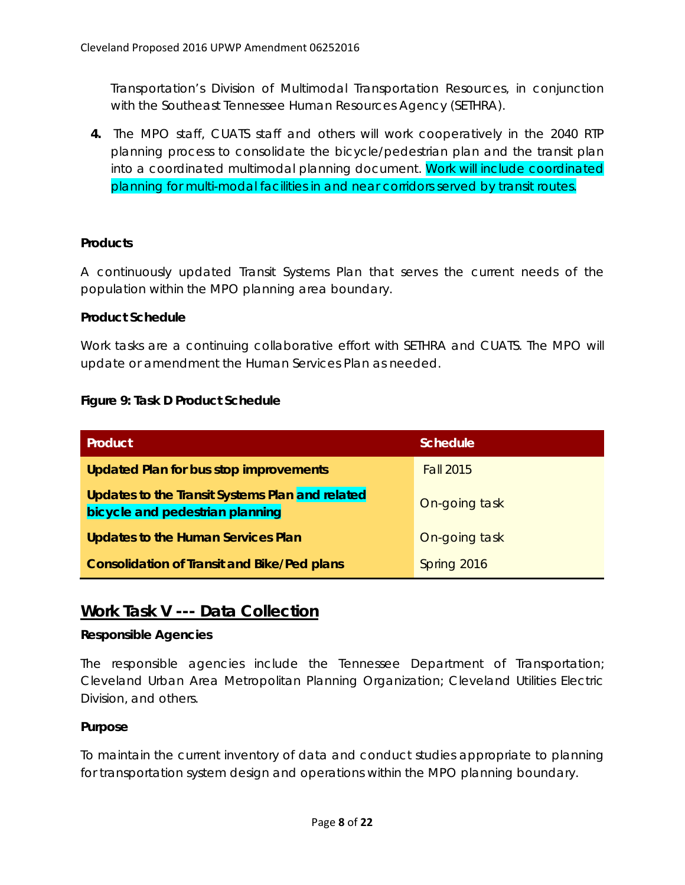Transportation's Division of Multimodal Transportation Resources, in conjunction with the Southeast Tennessee Human Resources Agency (SETHRA).

**4.** The MPO staff, CUATS staff and others will work cooperatively in the 2040 RTP planning process to consolidate the bicycle/pedestrian plan and the transit plan into a coordinated multimodal planning document. Work will include coordinated planning for multi-modal facilities in and near corridors served by transit routes.

# **Products**

A continuously updated Transit Systems Plan that serves the current needs of the population within the MPO planning area boundary.

#### **Product Schedule**

Work tasks are a continuing collaborative effort with SETHRA and CUATS. The MPO will update or amendment the Human Services Plan as needed.

#### **Figure 9: Task D Product Schedule**

| <b>Product</b>                                                                     | Schedule         |
|------------------------------------------------------------------------------------|------------------|
| <b>Updated Plan for bus stop improvements</b>                                      | <b>Fall 2015</b> |
| Updates to the Transit Systems Plan and related<br>bicycle and pedestrian planning | On-going task    |
| <b>Updates to the Human Services Plan</b>                                          | On-going task    |
| <b>Consolidation of Transit and Bike/Ped plans</b>                                 | Spring 2016      |

# **Work Task V --- Data Collection**

#### **Responsible Agencies**

The responsible agencies include the Tennessee Department of Transportation; Cleveland Urban Area Metropolitan Planning Organization; Cleveland Utilities Electric Division, and others.

# **Purpose**

To maintain the current inventory of data and conduct studies appropriate to planning for transportation system design and operations within the MPO planning boundary.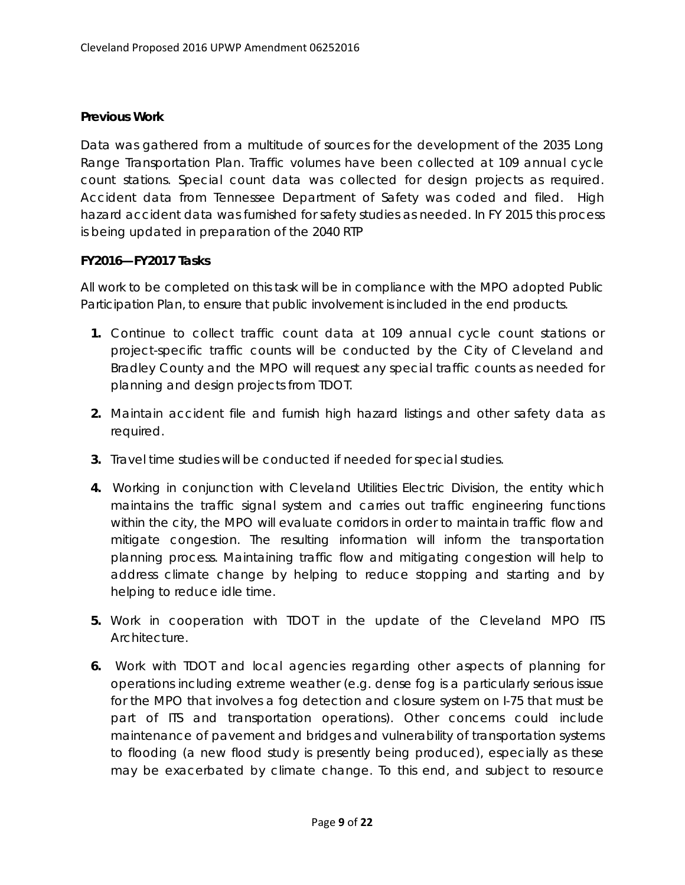#### **Previous Work**

Data was gathered from a multitude of sources for the development of the 2035 Long Range Transportation Plan. Traffic volumes have been collected at 109 annual cycle count stations. Special count data was collected for design projects as required. Accident data from Tennessee Department of Safety was coded and filed. High hazard accident data was furnished for safety studies as needed. In FY 2015 this process is being updated in preparation of the 2040 RTP

#### **FY2016—FY2017 Tasks**

All work to be completed on this task will be in compliance with the MPO adopted Public Participation Plan, to ensure that public involvement is included in the end products.

- **1.** Continue to collect traffic count data at 109 annual cycle count stations or project-specific traffic counts will be conducted by the City of Cleveland and Bradley County and the MPO will request any special traffic counts as needed for planning and design projects from TDOT.
- **2.** Maintain accident file and furnish high hazard listings and other safety data as required.
- **3.** Travel time studies will be conducted if needed for special studies.
- **4.** Working in conjunction with Cleveland Utilities Electric Division, the entity which maintains the traffic signal system and carries out traffic engineering functions within the city, the MPO will evaluate corridors in order to maintain traffic flow and mitigate congestion. The resulting information will inform the transportation planning process. Maintaining traffic flow and mitigating congestion will help to address climate change by helping to reduce stopping and starting and by helping to reduce idle time.
- **5.** Work in cooperation with TDOT in the update of the Cleveland MPO ITS **Architecture**
- **6.** Work with TDOT and local agencies regarding other aspects of planning for operations including extreme weather (e.g. dense fog is a particularly serious issue for the MPO that involves a fog detection and closure system on I-75 that must be part of ITS and transportation operations). Other concerns could include maintenance of pavement and bridges and vulnerability of transportation systems to flooding (a new flood study is presently being produced), especially as these may be exacerbated by climate change. To this end, and subject to resource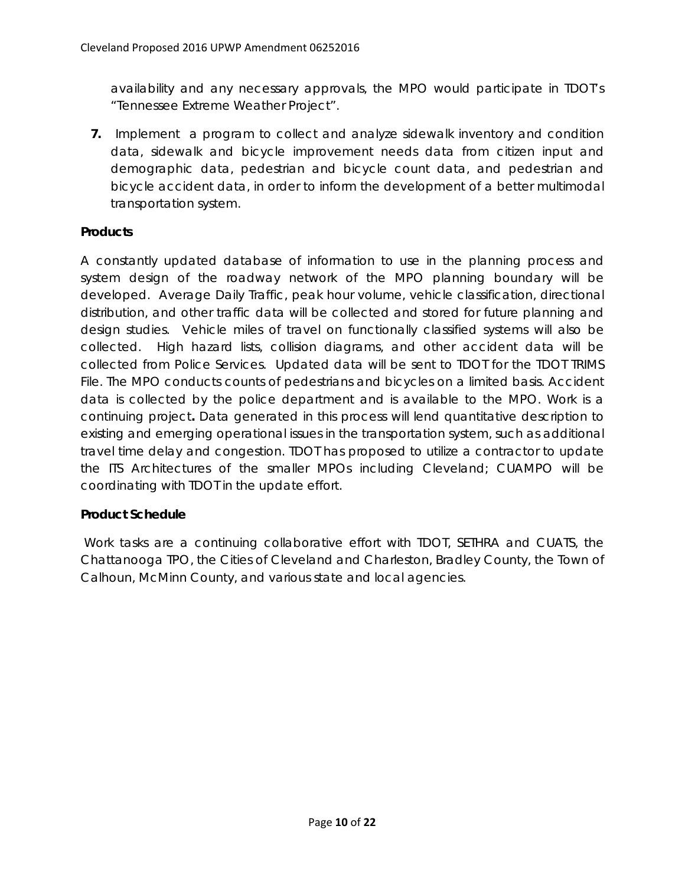availability and any necessary approvals, the MPO would participate in TDOT's "Tennessee Extreme Weather Project".

**7.** Implement a program to collect and analyze sidewalk inventory and condition data, sidewalk and bicycle improvement needs data from citizen input and demographic data, pedestrian and bicycle count data, and pedestrian and bicycle accident data, in order to inform the development of a better multimodal transportation system.

#### **Products**

A constantly updated database of information to use in the planning process and system design of the roadway network of the MPO planning boundary will be developed. Average Daily Traffic, peak hour volume, vehicle classification, directional distribution, and other traffic data will be collected and stored for future planning and design studies. Vehicle miles of travel on functionally classified systems will also be collected. High hazard lists, collision diagrams, and other accident data will be collected from Police Services. Updated data will be sent to TDOT for the TDOT TRIMS File. The MPO conducts counts of pedestrians and bicycles on a limited basis. Accident data is collected by the police department and is available to the MPO. Work is a continuing project**.** Data generated in this process will lend quantitative description to existing and emerging operational issues in the transportation system, such as additional travel time delay and congestion. TDOT has proposed to utilize a contractor to update the ITS Architectures of the smaller MPOs including Cleveland; CUAMPO will be coordinating with TDOT in the update effort.

# **Product Schedule**

 Work tasks are a continuing collaborative effort with TDOT, SETHRA and CUATS, the Chattanooga TPO, the Cities of Cleveland and Charleston, Bradley County, the Town of Calhoun, McMinn County, and various state and local agencies.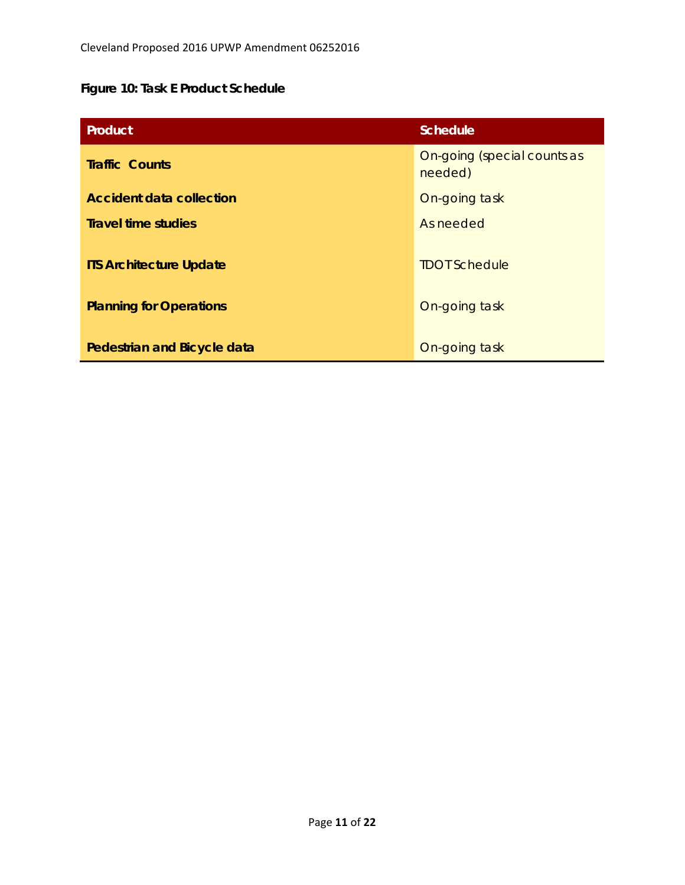# **Figure 10: Task E Product Schedule**

| Product                                                          | <b>Schedule</b>                        |  |  |  |
|------------------------------------------------------------------|----------------------------------------|--|--|--|
| <b>Traffic Counts</b>                                            | On-going (special counts as<br>needed) |  |  |  |
| <b>Accident data collection</b>                                  | On-going task                          |  |  |  |
| <b>Travel time studies</b>                                       | As needed                              |  |  |  |
| <b>ITS Architecture Update</b><br><b>Planning for Operations</b> | <b>TDOT Schedule</b><br>On-going task  |  |  |  |
| Pedestrian and Bicycle data                                      | On-going task                          |  |  |  |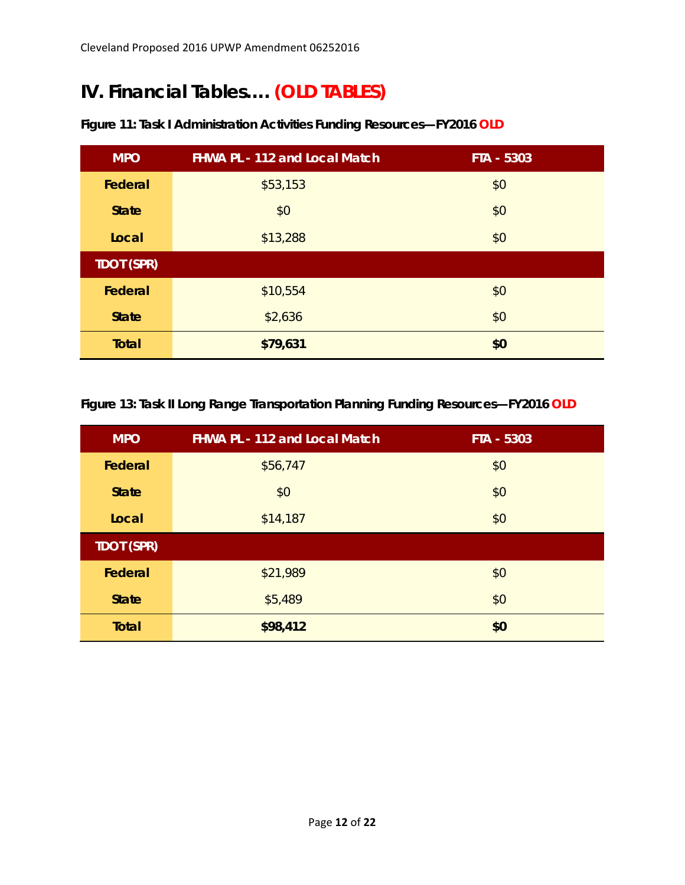# **IV. Financial Tables…. (OLD TABLES)**

| <b>MPO</b>               | <b>FHWA PL - 112 and Local Match</b> | FTA - 5303 |  |  |  |
|--------------------------|--------------------------------------|------------|--|--|--|
| Federal                  | \$53,153                             | \$0        |  |  |  |
| <b>State</b>             | \$0                                  | \$0        |  |  |  |
| Local                    | \$13,288                             | \$0        |  |  |  |
| <b>TDOT (SPR)</b>        |                                      |            |  |  |  |
| Federal                  | \$10,554                             | \$0        |  |  |  |
| <b>State</b>             | \$2,636                              | \$0        |  |  |  |
| <b>Total</b><br>\$79,631 |                                      | \$0        |  |  |  |

# **Figure 11: Task I Administration Activities Funding Resources—FY2016 OLD**

**Figure 13: Task II Long Range Transportation Planning Funding Resources—FY2016 OLD** 

| <b>MPO</b>        | <b>FHWA PL - 112 and Local Match</b> | FTA - 5303 |  |  |
|-------------------|--------------------------------------|------------|--|--|
| Federal           | \$56,747                             | \$0        |  |  |
| <b>State</b>      | \$0                                  | \$0        |  |  |
| Local             | \$14,187                             | \$0        |  |  |
| <b>TDOT (SPR)</b> |                                      |            |  |  |
| Federal           | \$21,989                             | \$0        |  |  |
| <b>State</b>      | \$5,489                              | \$0        |  |  |
| <b>Total</b>      | \$98,412                             | \$0        |  |  |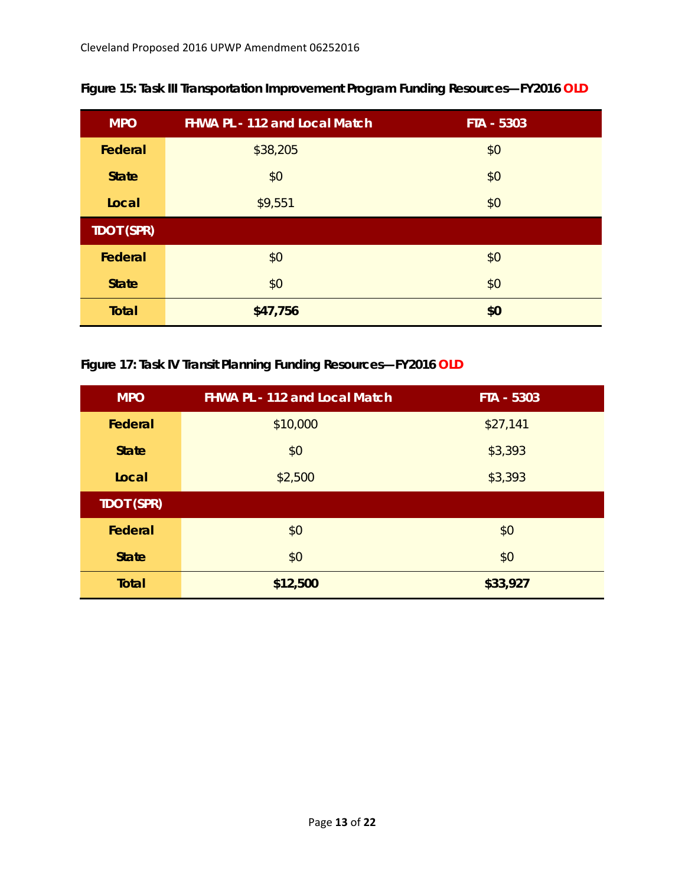| <b>MPO</b>        | <b>FHWA PL - 112 and Local Match</b> | FTA - 5303 |  |  |
|-------------------|--------------------------------------|------------|--|--|
| Federal           | \$38,205                             | \$0        |  |  |
| <b>State</b>      | \$0                                  | \$0        |  |  |
| Local             | \$9,551                              | \$0        |  |  |
| <b>TDOT (SPR)</b> |                                      |            |  |  |
| Federal           | \$0                                  | \$0        |  |  |
| <b>State</b>      | \$0                                  | \$0        |  |  |
| <b>Total</b>      | \$47,756                             | \$0        |  |  |

**Figure 15: Task III Transportation Improvement Program Funding Resources—FY2016 OLD**

# **Figure 17: Task IV Transit Planning Funding Resources—FY2016 OLD**

| <b>MPO</b>               | <b>FHWA PL - 112 and Local Match</b> | FTA - 5303 |  |  |
|--------------------------|--------------------------------------|------------|--|--|
| Federal                  | \$10,000                             | \$27,141   |  |  |
| <b>State</b>             | \$0                                  | \$3,393    |  |  |
| Local                    | \$2,500                              | \$3,393    |  |  |
| <b>TDOT (SPR)</b>        |                                      |            |  |  |
| Federal                  | \$0                                  | \$0        |  |  |
| <b>State</b>             | \$0                                  | \$0        |  |  |
| <b>Total</b><br>\$12,500 |                                      | \$33,927   |  |  |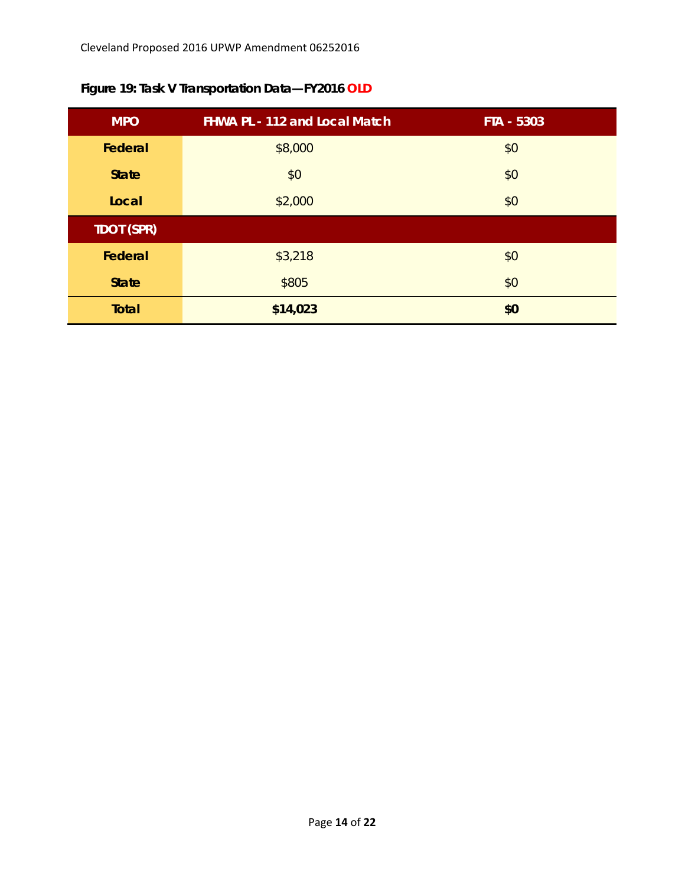| <b>MPO</b>        | FHWA PL - 112 and Local Match | FTA - 5303 |  |  |
|-------------------|-------------------------------|------------|--|--|
| Federal           | \$8,000                       | \$0        |  |  |
| <b>State</b>      | \$0                           | \$0        |  |  |
| Local             | \$2,000                       | \$0        |  |  |
| <b>TDOT (SPR)</b> |                               |            |  |  |
| Federal           | \$3,218                       | \$0        |  |  |
| <b>State</b>      | \$805                         | \$0        |  |  |
| <b>Total</b>      | \$14,023                      | \$0        |  |  |

**Figure 19: Task V Transportation Data—FY2016 OLD**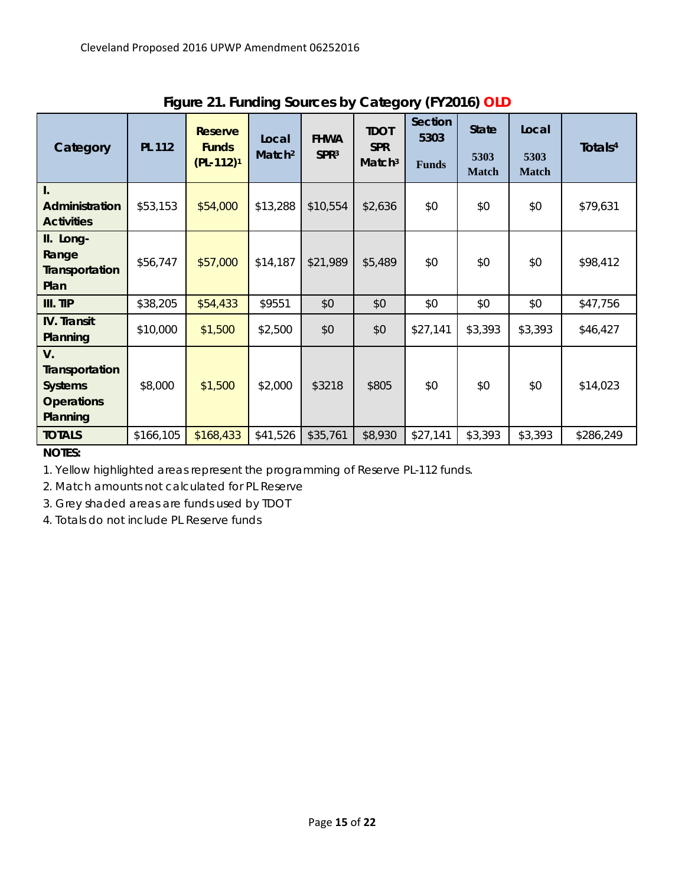| Category                                                                         | <b>PL 112</b> | <b>Reserve</b><br><b>Funds</b><br>$(PL-112)^1$ | Local<br>Match <sup>2</sup> | <b>FHWA</b><br>SPR <sup>3</sup> | <b>TDOT</b><br><b>SPR</b><br>Match <sup>3</sup> | Section<br>5303<br><b>Funds</b> | <b>State</b><br>5303<br><b>Match</b> | Local<br>5303<br><b>Match</b> | Totals <sup>4</sup> |
|----------------------------------------------------------------------------------|---------------|------------------------------------------------|-----------------------------|---------------------------------|-------------------------------------------------|---------------------------------|--------------------------------------|-------------------------------|---------------------|
| I.<br>Administration<br><b>Activities</b>                                        | \$53,153      | \$54,000                                       | \$13,288                    | \$10,554                        | \$2,636                                         | \$0                             | \$0                                  | \$0                           | \$79,631            |
| II. Long-<br>Range<br>Transportation<br>Plan                                     | \$56,747      | \$57,000                                       | \$14,187                    | \$21,989                        | \$5,489                                         | \$0                             | \$0                                  | \$0                           | \$98,412            |
| III. TIP                                                                         | \$38,205      | \$54,433                                       | \$9551                      | \$0                             | \$0                                             | \$0                             | \$0                                  | \$0                           | \$47,756            |
| <b>IV.</b> Transit<br>Planning                                                   | \$10,000      | \$1,500                                        | \$2,500                     | \$0                             | \$0                                             | \$27,141                        | \$3,393                              | \$3,393                       | \$46,427            |
| $V_{\cdot}$<br>Transportation<br><b>Systems</b><br><b>Operations</b><br>Planning | \$8,000       | \$1,500                                        | \$2,000                     | \$3218                          | \$805                                           | \$0                             | \$0                                  | \$0                           | \$14,023            |
| <b>TOTALS</b>                                                                    | \$166,105     | \$168,433                                      | \$41,526                    | \$35,761                        | \$8,930                                         | \$27,141                        | \$3,393                              | \$3,393                       | \$286,249           |

**Figure 21. Funding Sources by Category (FY2016) OLD** 

*NOTES:* 

*1. Yellow highlighted areas represent the programming of Reserve PL-112 funds.* 

*2. Match amounts not calculated for PL Reserve* 

*3. Grey shaded areas are funds used by TDOT* 

*4. Totals do not include PL Reserve funds*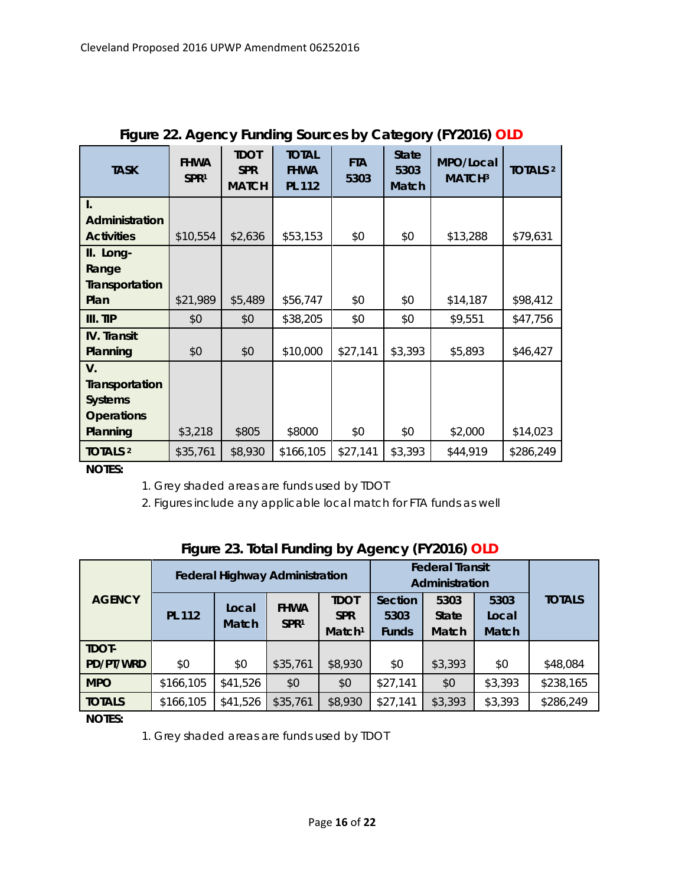| <b>TASK</b>           | <b>FHWA</b><br>SPR <sup>1</sup> | <b>TDOT</b><br><b>SPR</b><br><b>MATCH</b> | <b>TOTAL</b><br><b>FHWA</b><br><b>PL 112</b> | <b>FTA</b><br>5303 | <b>State</b><br>5303<br><b>Match</b> | MPO/Local<br>MATCH <sup>3</sup> | <b>TOTALS 2</b> |
|-----------------------|---------------------------------|-------------------------------------------|----------------------------------------------|--------------------|--------------------------------------|---------------------------------|-----------------|
| I.                    |                                 |                                           |                                              |                    |                                      |                                 |                 |
| Administration        |                                 |                                           |                                              |                    |                                      |                                 |                 |
| <b>Activities</b>     | \$10,554                        | \$2,636                                   | \$53,153                                     | \$0                | \$0                                  | \$13,288                        | \$79,631        |
| II. Long-             |                                 |                                           |                                              |                    |                                      |                                 |                 |
| Range                 |                                 |                                           |                                              |                    |                                      |                                 |                 |
| <b>Transportation</b> |                                 |                                           |                                              |                    |                                      |                                 |                 |
| Plan                  | \$21,989                        | \$5,489                                   | \$56,747                                     | \$0                | \$0                                  | \$14,187                        | \$98,412        |
| III. TIP              | \$0                             | \$0                                       | \$38,205                                     | \$0                | \$0                                  | \$9,551                         | \$47,756        |
| <b>IV.</b> Transit    |                                 |                                           |                                              |                    |                                      |                                 |                 |
| Planning              | \$0                             | \$0                                       | \$10,000                                     | \$27,141           | \$3,393                              | \$5,893                         | \$46,427        |
| $V_{\cdot}$           |                                 |                                           |                                              |                    |                                      |                                 |                 |
| Transportation        |                                 |                                           |                                              |                    |                                      |                                 |                 |
| <b>Systems</b>        |                                 |                                           |                                              |                    |                                      |                                 |                 |
| <b>Operations</b>     |                                 |                                           |                                              |                    |                                      |                                 |                 |
| Planning              | \$3,218                         | \$805                                     | \$8000                                       | \$0                | \$0                                  | \$2,000                         | \$14,023        |
| <b>TOTALS 2</b>       | \$35,761                        | \$8,930                                   | \$166,105                                    | \$27,141           | \$3,393                              | \$44,919                        | \$286,249       |

# **Figure 22. Agency Funding Sources by Category (FY2016) OLD**

*NOTES:*

*1. Grey shaded areas are funds used by TDOT* 

*2. Figures include any applicable local match for FTA funds as well* 

|               |               | <b>Federal Highway Administration</b> |                  |                    |              | <b>Federal Transit</b><br>Administration |              |               |
|---------------|---------------|---------------------------------------|------------------|--------------------|--------------|------------------------------------------|--------------|---------------|
| <b>AGENCY</b> |               | Local                                 | <b>FHWA</b>      | <b>TDOT</b>        | Section      | 5303                                     | 5303         | <b>TOTALS</b> |
|               | <b>PL 112</b> |                                       |                  | <b>SPR</b>         | 5303         | <b>State</b>                             | Local        |               |
|               | <b>Match</b>  |                                       | SPR <sup>1</sup> | Match <sup>1</sup> | <b>Funds</b> | Match                                    | <b>Match</b> |               |
| TDOT-         |               |                                       |                  |                    |              |                                          |              |               |
| PD/PT/WRD     | \$0           | \$0                                   | \$35,761         | \$8,930            | \$0          | \$3,393                                  | \$0          | \$48,084      |
| <b>MPO</b>    | \$166,105     | \$41,526                              | \$0              | \$0                | \$27,141     | \$0                                      | \$3,393      | \$238,165     |
| <b>TOTALS</b> | \$166,105     | \$41,526                              | \$35,761         | \$8,930            | \$27,141     | \$3,393                                  | \$3,393      | \$286,249     |

|  |  | Figure 23. Total Funding by Agency (FY2016) OLD |  |
|--|--|-------------------------------------------------|--|
|  |  |                                                 |  |
|  |  |                                                 |  |
|  |  |                                                 |  |

*NOTES:* 

*1. Grey shaded areas are funds used by TDOT*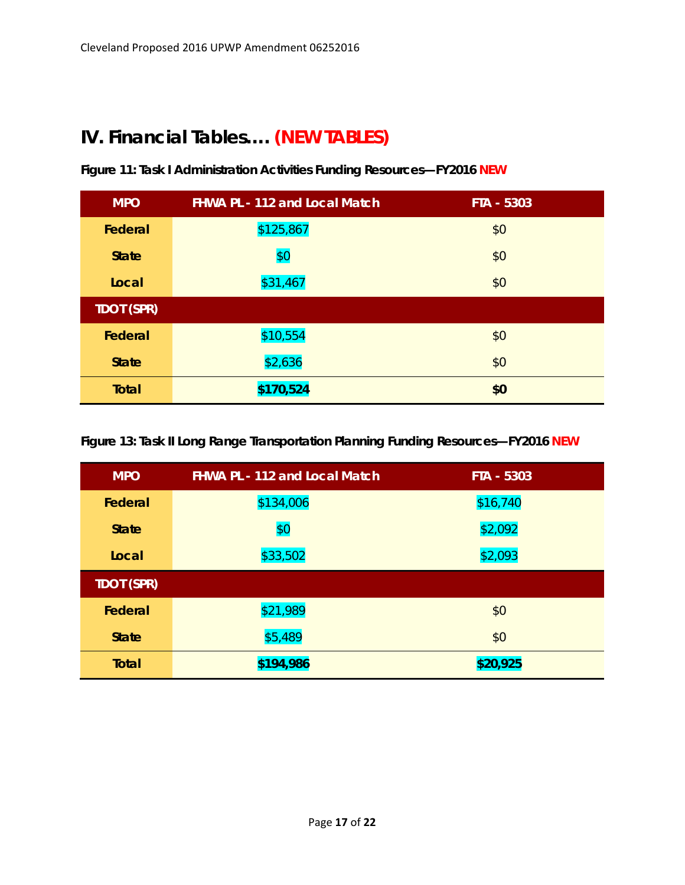# **IV. Financial Tables…. (NEW TABLES)**

| <b>MPO</b>        | <b>FHWA PL - 112 and Local Match</b> | FTA - 5303 |
|-------------------|--------------------------------------|------------|
| Federal           | \$125,867                            | \$0        |
| <b>State</b>      | \$0                                  | \$0        |
| Local             | \$31,467                             | \$0        |
| <b>TDOT (SPR)</b> |                                      |            |
| Federal           | \$10,554                             | \$0        |
| <b>State</b>      | \$2,636                              | \$0        |
| <b>Total</b>      | \$170,524                            | \$0        |

**Figure 11: Task I Administration Activities Funding Resources—FY2016 NEW**

**Figure 13: Task II Long Range Transportation Planning Funding Resources—FY2016 NEW**

| <b>MPO</b>        | <b>FHWA PL - 112 and Local Match</b> | FTA - 5303 |
|-------------------|--------------------------------------|------------|
| Federal           | \$134,006                            | \$16,740   |
| <b>State</b>      | \$0                                  | \$2,092    |
| Local             | \$33,502                             | \$2,093    |
| <b>TDOT (SPR)</b> |                                      |            |
| Federal           | \$21,989                             | \$0        |
| <b>State</b>      | \$5,489                              | \$0        |
| <b>Total</b>      | \$194,986                            | \$20,925   |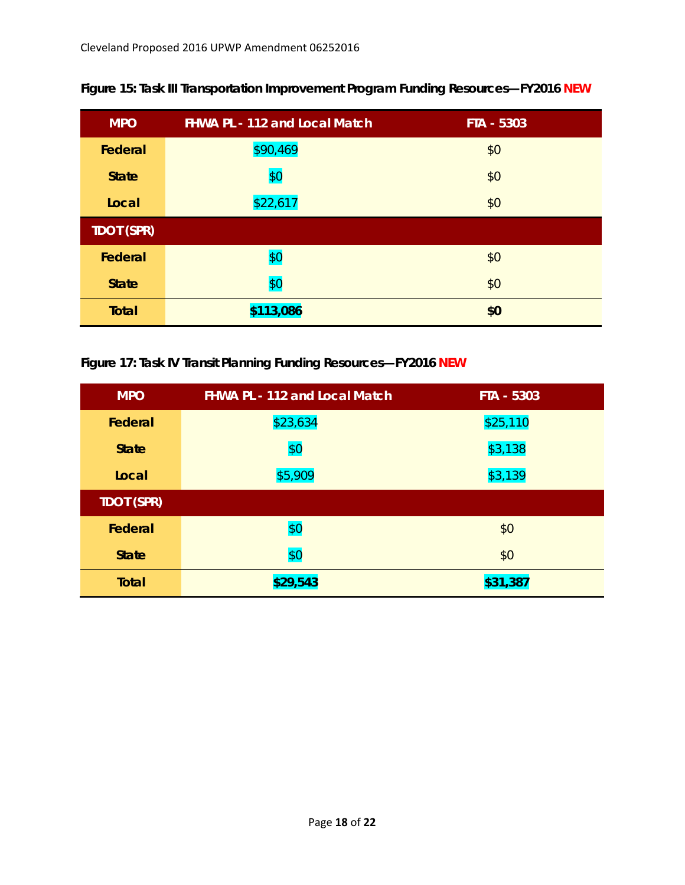| <b>MPO</b>        | <b>FHWA PL - 112 and Local Match</b> | FTA - 5303 |
|-------------------|--------------------------------------|------------|
| Federal           | \$90,469                             | \$0        |
| <b>State</b>      | \$0                                  | \$0        |
| Local             | \$22,617                             | \$0        |
| <b>TDOT (SPR)</b> |                                      |            |
| Federal           | \$0                                  | \$0        |
| <b>State</b>      | \$0                                  | \$0        |
| <b>Total</b>      | \$113,086                            | \$0        |

**Figure 15: Task III Transportation Improvement Program Funding Resources—FY2016 NEW**

**Figure 17: Task IV Transit Planning Funding Resources—FY2016 NEW**

| <b>MPO</b>        | <b>FHWA PL - 112 and Local Match</b> | FTA - 5303 |
|-------------------|--------------------------------------|------------|
| Federal           | \$23,634                             | \$25,110   |
| <b>State</b>      | \$0                                  | \$3,138    |
| Local             | \$5,909                              | \$3,139    |
| <b>TDOT (SPR)</b> |                                      |            |
| Federal           | \$0                                  | \$0        |
| <b>State</b>      | \$0                                  | \$0        |
| <b>Total</b>      | \$29,543                             | \$31,387   |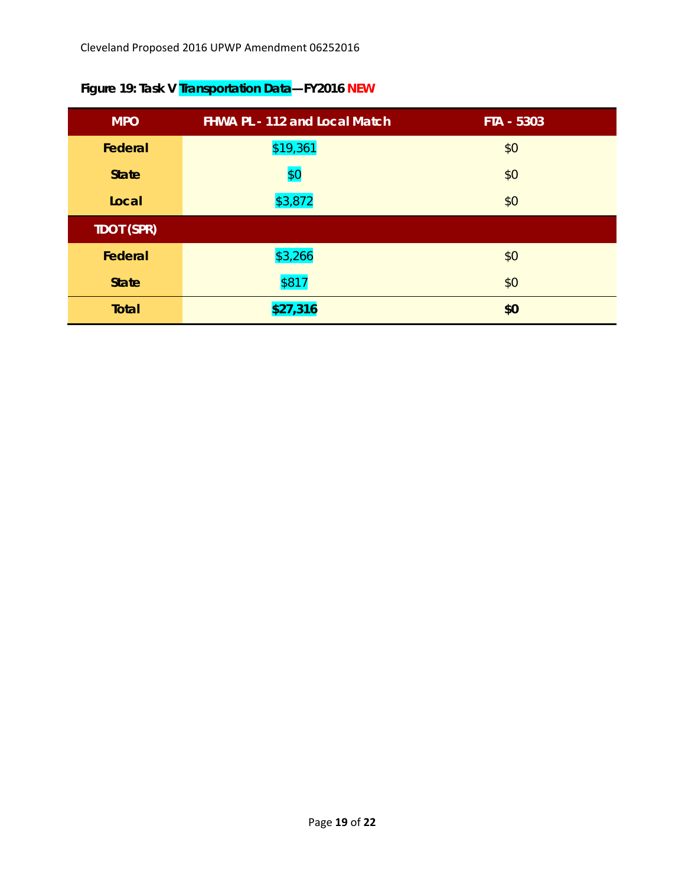| <b>MPO</b>        | <b>FHWA PL - 112 and Local Match</b> | FTA - 5303 |
|-------------------|--------------------------------------|------------|
| Federal           | \$19,361                             | \$0        |
| <b>State</b>      | \$0                                  | \$0        |
| Local             | \$3,872                              | \$0        |
| <b>TDOT (SPR)</b> |                                      |            |
| Federal           | \$3,266                              | \$0        |
| <b>State</b>      | \$817                                | \$0        |
| Total             | \$27,316                             | \$0        |

# **Figure 19: Task V Transportation Data—FY2016 NEW**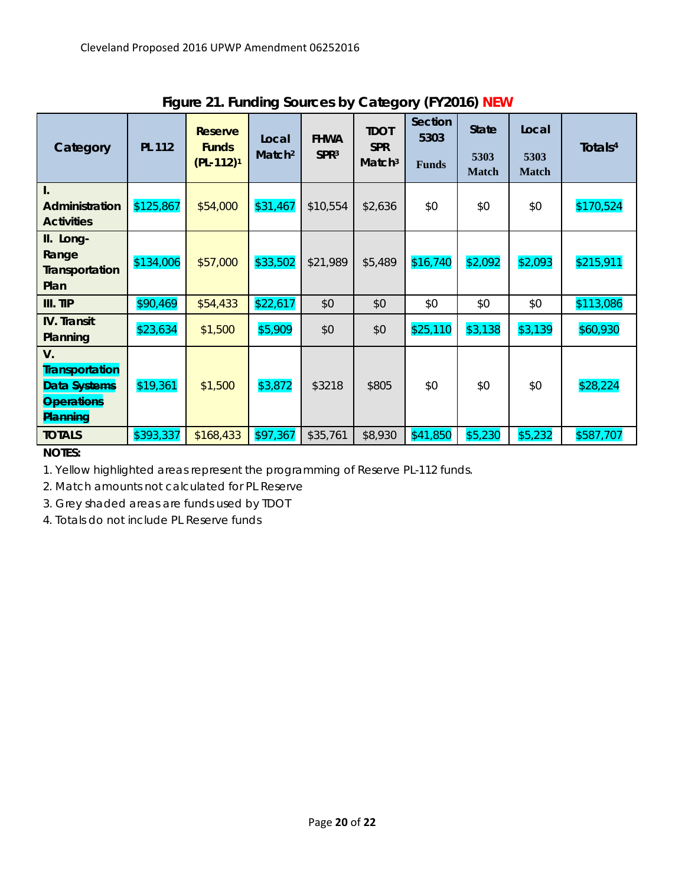| Category                                                                     | ັ<br><b>PL 112</b> | <b>Reserve</b><br><b>Funds</b><br>$(PL-112)^1$ | ັ<br>Local<br>Match <sup>2</sup> | <b>FHWA</b><br>SPR <sup>3</sup> | <b>TDOT</b><br><b>SPR</b><br>Match <sup>3</sup> | <b>Section</b><br>5303<br><b>Funds</b> | <b>State</b><br>5303<br><b>Match</b> | Local<br>5303<br><b>Match</b> | Totals <sup>4</sup> |
|------------------------------------------------------------------------------|--------------------|------------------------------------------------|----------------------------------|---------------------------------|-------------------------------------------------|----------------------------------------|--------------------------------------|-------------------------------|---------------------|
| $\mathbf{I}$ .<br>Administration<br><b>Activities</b>                        | \$125,867          | \$54,000                                       | \$31,467                         | \$10,554                        | \$2,636                                         | \$0                                    | \$0                                  | \$0                           | \$170,524           |
| II. Long-<br>Range<br>Transportation<br>Plan                                 | \$134,006          | \$57,000                                       | \$33,502                         | \$21,989                        | \$5,489                                         | \$16,740                               | \$2,092                              | \$2,093                       | \$215,911           |
| III. TIP                                                                     | \$90,469           | \$54,433                                       | \$22,617                         | \$0                             | \$0                                             | \$0                                    | \$0                                  | \$0                           | \$113,086           |
| <b>IV.</b> Transit<br>Planning                                               | \$23,634           | \$1,500                                        | \$5,909                          | \$0                             | \$0                                             | \$25,110                               | \$3,138                              | \$3,139                       | \$60,930            |
| V.<br><b>Transportation</b><br>Data Systems<br><b>Operations</b><br>Planning | \$19,361           | \$1,500                                        | \$3,872                          | \$3218                          | \$805                                           | \$0                                    | \$0                                  | \$0                           | \$28,224            |
| <b>TOTALS</b>                                                                | \$393,337          | \$168,433                                      | \$97,367                         | \$35,761                        | \$8,930                                         | \$41,850                               | \$5,230                              | \$5,232                       | \$587,707           |

**Figure 21. Funding Sources by Category (FY2016) NEW** 

*NOTES:* 

*1. Yellow highlighted areas represent the programming of Reserve PL-112 funds.* 

*2. Match amounts not calculated for PL Reserve* 

*3. Grey shaded areas are funds used by TDOT* 

*4. Totals do not include PL Reserve funds*